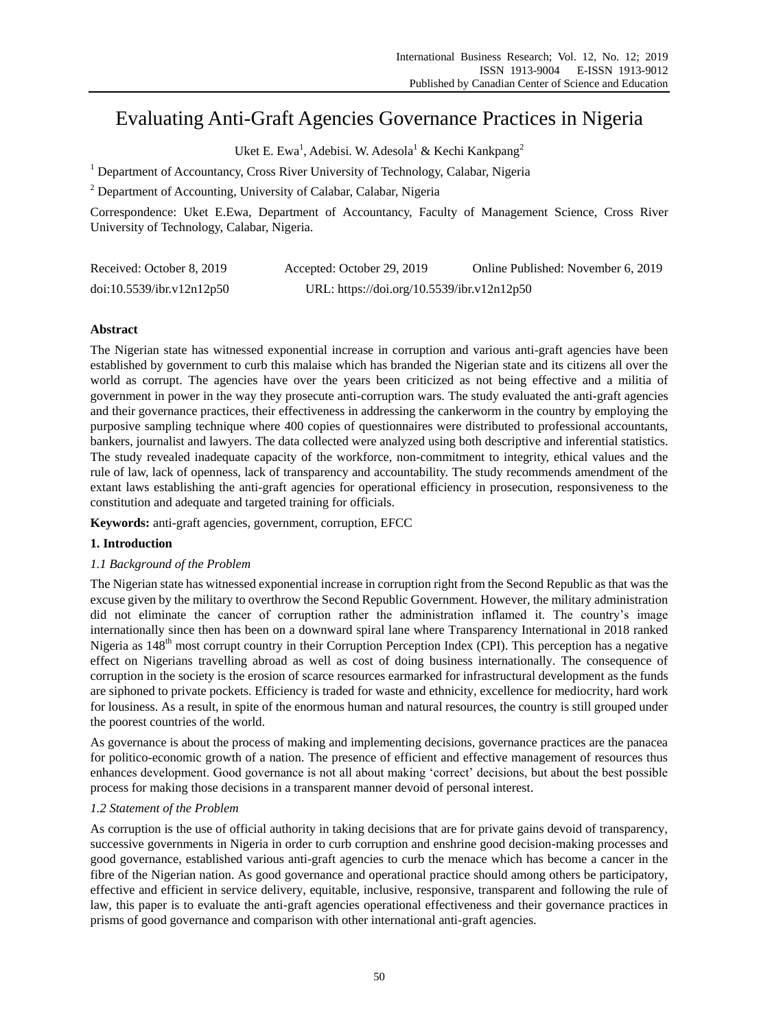# Evaluating Anti-Graft Agencies Governance Practices in Nigeria

Uket E. Ewa<sup>1</sup>, Adebisi. W. Adesola<sup>1</sup> & Kechi Kankpang<sup>2</sup>

<sup>1</sup> Department of Accountancy, Cross River University of Technology, Calabar, Nigeria

<sup>2</sup> Department of Accounting, University of Calabar, Calabar, Nigeria

Correspondence: Uket E.Ewa, Department of Accountancy, Faculty of Management Science, Cross River University of Technology, Calabar, Nigeria.

| Received: October 8, 2019 | Accepted: October 29, 2019                 | Online Published: November 6, 2019 |
|---------------------------|--------------------------------------------|------------------------------------|
| doi:10.5539/ibr.v12n12p50 | URL: https://doi.org/10.5539/ibr.v12n12p50 |                                    |

# **Abstract**

The Nigerian state has witnessed exponential increase in corruption and various anti-graft agencies have been established by government to curb this malaise which has branded the Nigerian state and its citizens all over the world as corrupt. The agencies have over the years been criticized as not being effective and a militia of government in power in the way they prosecute anti-corruption wars. The study evaluated the anti-graft agencies and their governance practices, their effectiveness in addressing the cankerworm in the country by employing the purposive sampling technique where 400 copies of questionnaires were distributed to professional accountants, bankers, journalist and lawyers. The data collected were analyzed using both descriptive and inferential statistics. The study revealed inadequate capacity of the workforce, non-commitment to integrity, ethical values and the rule of law, lack of openness, lack of transparency and accountability. The study recommends amendment of the extant laws establishing the anti-graft agencies for operational efficiency in prosecution, responsiveness to the constitution and adequate and targeted training for officials.

**Keywords:** anti-graft agencies, government, corruption, EFCC

# **1. Introduction**

# *1.1 Background of the Problem*

The Nigerian state has witnessed exponential increase in corruption right from the Second Republic as that was the excuse given by the military to overthrow the Second Republic Government. However, the military administration did not eliminate the cancer of corruption rather the administration inflamed it. The country"s image internationally since then has been on a downward spiral lane where Transparency International in 2018 ranked Nigeria as  $148<sup>th</sup>$  most corrupt country in their Corruption Perception Index (CPI). This perception has a negative effect on Nigerians travelling abroad as well as cost of doing business internationally. The consequence of corruption in the society is the erosion of scarce resources earmarked for infrastructural development as the funds are siphoned to private pockets. Efficiency is traded for waste and ethnicity, excellence for mediocrity, hard work for lousiness. As a result, in spite of the enormous human and natural resources, the country is still grouped under the poorest countries of the world.

As governance is about the process of making and implementing decisions, governance practices are the panacea for politico-economic growth of a nation. The presence of efficient and effective management of resources thus enhances development. Good governance is not all about making "correct" decisions, but about the best possible process for making those decisions in a transparent manner devoid of personal interest.

## *1.2 Statement of the Problem*

As corruption is the use of official authority in taking decisions that are for private gains devoid of transparency, successive governments in Nigeria in order to curb corruption and enshrine good decision-making processes and good governance, established various anti-graft agencies to curb the menace which has become a cancer in the fibre of the Nigerian nation. As good governance and operational practice should among others be participatory, effective and efficient in service delivery, equitable, inclusive, responsive, transparent and following the rule of law, this paper is to evaluate the anti-graft agencies operational effectiveness and their governance practices in prisms of good governance and comparison with other international anti-graft agencies.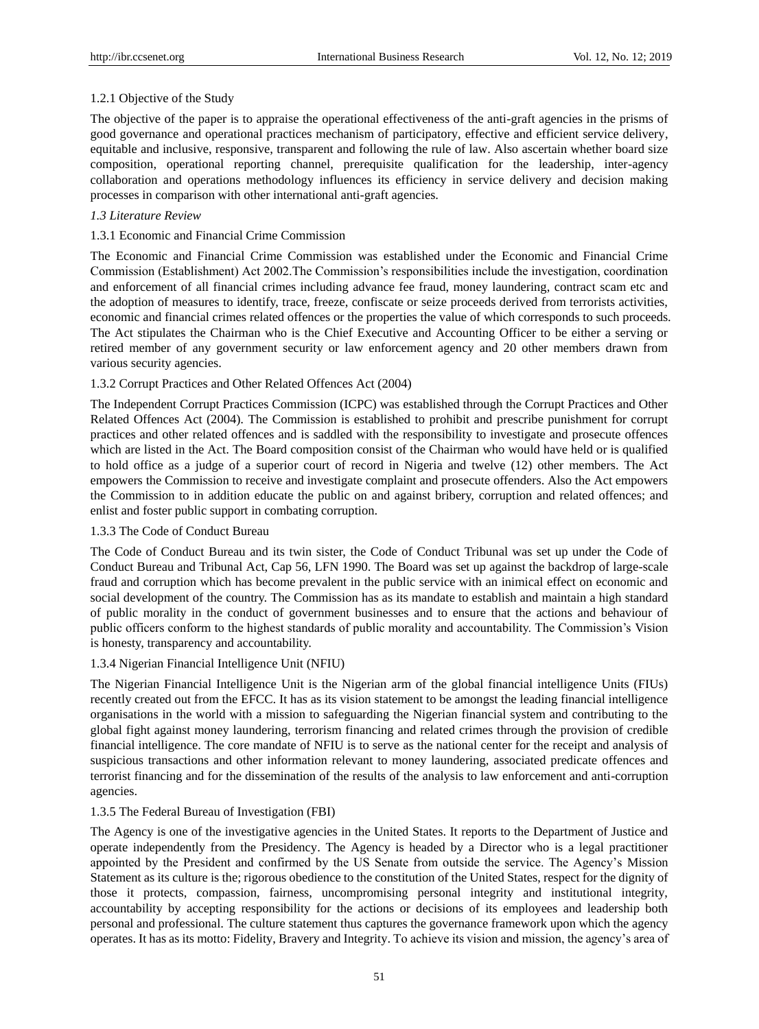## 1.2.1 Objective of the Study

The objective of the paper is to appraise the operational effectiveness of the anti-graft agencies in the prisms of good governance and operational practices mechanism of participatory, effective and efficient service delivery, equitable and inclusive, responsive, transparent and following the rule of law. Also ascertain whether board size composition, operational reporting channel, prerequisite qualification for the leadership, inter-agency collaboration and operations methodology influences its efficiency in service delivery and decision making processes in comparison with other international anti-graft agencies.

# *1.3 Literature Review*

# 1.3.1 Economic and Financial Crime Commission

The Economic and Financial Crime Commission was established under the Economic and Financial Crime Commission (Establishment) Act 2002.The Commission"s responsibilities include the investigation, coordination and enforcement of all financial crimes including advance fee fraud, money laundering, contract scam etc and the adoption of measures to identify, trace, freeze, confiscate or seize proceeds derived from terrorists activities, economic and financial crimes related offences or the properties the value of which corresponds to such proceeds. The Act stipulates the Chairman who is the Chief Executive and Accounting Officer to be either a serving or retired member of any government security or law enforcement agency and 20 other members drawn from various security agencies.

# 1.3.2 Corrupt Practices and Other Related Offences Act (2004)

The Independent Corrupt Practices Commission (ICPC) was established through the Corrupt Practices and Other Related Offences Act (2004). The Commission is established to prohibit and prescribe punishment for corrupt practices and other related offences and is saddled with the responsibility to investigate and prosecute offences which are listed in the Act. The Board composition consist of the Chairman who would have held or is qualified to hold office as a judge of a superior court of record in Nigeria and twelve (12) other members. The Act empowers the Commission to receive and investigate complaint and prosecute offenders. Also the Act empowers the Commission to in addition educate the public on and against bribery, corruption and related offences; and enlist and foster public support in combating corruption.

## 1.3.3 The Code of Conduct Bureau

The Code of Conduct Bureau and its twin sister, the Code of Conduct Tribunal was set up under the Code of Conduct Bureau and Tribunal Act, Cap 56, LFN 1990. The Board was set up against the backdrop of large-scale fraud and corruption which has become prevalent in the public service with an inimical effect on economic and social development of the country. The Commission has as its mandate to establish and maintain a high standard of public morality in the conduct of government businesses and to ensure that the actions and behaviour of public officers conform to the highest standards of public morality and accountability. The Commission"s Vision is honesty, transparency and accountability.

# 1.3.4 Nigerian Financial Intelligence Unit (NFIU)

The Nigerian Financial Intelligence Unit is the Nigerian arm of the global financial intelligence Units (FIUs) recently created out from the EFCC. It has as its vision statement to be amongst the leading financial intelligence organisations in the world with a mission to safeguarding the Nigerian financial system and contributing to the global fight against money laundering, terrorism financing and related crimes through the provision of credible financial intelligence. The core mandate of NFIU is to serve as the national center for the receipt and analysis of suspicious transactions and other information relevant to money laundering, associated predicate offences and terrorist financing and for the dissemination of the results of the analysis to law enforcement and anti-corruption agencies.

## 1.3.5 The Federal Bureau of Investigation (FBI)

The Agency is one of the investigative agencies in the United States. It reports to the Department of Justice and operate independently from the Presidency. The Agency is headed by a Director who is a legal practitioner appointed by the President and confirmed by the US Senate from outside the service. The Agency"s Mission Statement as its culture is the; rigorous obedience to the constitution of the United States, respect for the dignity of those it protects, compassion, fairness, uncompromising personal integrity and institutional integrity, accountability by accepting responsibility for the actions or decisions of its employees and leadership both personal and professional. The culture statement thus captures the governance framework upon which the agency operates. It has as its motto: Fidelity, Bravery and Integrity. To achieve its vision and mission, the agency"s area of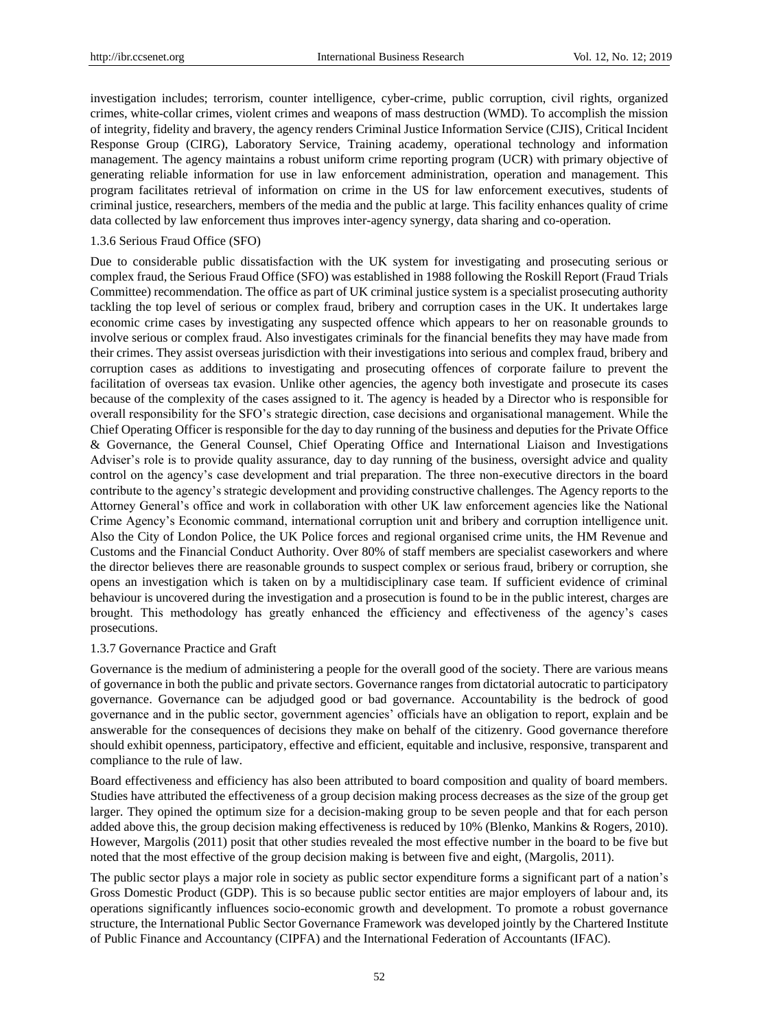investigation includes; terrorism, counter intelligence, cyber-crime, public corruption, civil rights, organized crimes, white-collar crimes, violent crimes and weapons of mass destruction (WMD). To accomplish the mission of integrity, fidelity and bravery, the agency renders Criminal Justice Information Service (CJIS), Critical Incident Response Group (CIRG), Laboratory Service, Training academy, operational technology and information management. The agency maintains a robust uniform crime reporting program (UCR) with primary objective of generating reliable information for use in law enforcement administration, operation and management. This program facilitates retrieval of information on crime in the US for law enforcement executives, students of criminal justice, researchers, members of the media and the public at large. This facility enhances quality of crime data collected by law enforcement thus improves inter-agency synergy, data sharing and co-operation.

#### 1.3.6 Serious Fraud Office (SFO)

Due to considerable public dissatisfaction with the UK system for investigating and prosecuting serious or complex fraud, the Serious Fraud Office (SFO) was established in 1988 following the Roskill Report (Fraud Trials Committee) recommendation. The office as part of UK criminal justice system is a specialist prosecuting authority tackling the top level of serious or complex fraud, bribery and corruption cases in the UK. It undertakes large economic crime cases by investigating any suspected offence which appears to her on reasonable grounds to involve serious or complex fraud. Also investigates criminals for the financial benefits they may have made from their crimes. They assist overseas jurisdiction with their investigations into serious and complex fraud, bribery and corruption cases as additions to investigating and prosecuting offences of corporate failure to prevent the facilitation of overseas tax evasion. Unlike other agencies, the agency both investigate and prosecute its cases because of the complexity of the cases assigned to it. The agency is headed by a Director who is responsible for overall responsibility for the SFO"s strategic direction, case decisions and organisational management. While the Chief Operating Officer is responsible for the day to day running of the business and deputies for the Private Office & Governance, the General Counsel, Chief Operating Office and International Liaison and Investigations Adviser"s role is to provide quality assurance, day to day running of the business, oversight advice and quality control on the agency"s case development and trial preparation. The three non-executive directors in the board contribute to the agency"s strategic development and providing constructive challenges. The Agency reports to the Attorney General"s office and work in collaboration with other UK law enforcement agencies like the National Crime Agency"s Economic command, international corruption unit and bribery and corruption intelligence unit. Also the City of London Police, the UK Police forces and regional organised crime units, the HM Revenue and Customs and the Financial Conduct Authority. Over 80% of staff members are specialist caseworkers and where the director believes there are reasonable grounds to suspect complex or serious fraud, bribery or corruption, she opens an investigation which is taken on by a multidisciplinary case team. If sufficient evidence of criminal behaviour is uncovered during the investigation and a prosecution is found to be in the public interest, charges are brought. This methodology has greatly enhanced the efficiency and effectiveness of the agency"s cases prosecutions.

#### 1.3.7 Governance Practice and Graft

Governance is the medium of administering a people for the overall good of the society. There are various means of governance in both the public and private sectors. Governance ranges from dictatorial autocratic to participatory governance. Governance can be adjudged good or bad governance. Accountability is the bedrock of good governance and in the public sector, government agencies" officials have an obligation to report, explain and be answerable for the consequences of decisions they make on behalf of the citizenry. Good governance therefore should exhibit openness, participatory, effective and efficient, equitable and inclusive, responsive, transparent and compliance to the rule of law.

Board effectiveness and efficiency has also been attributed to board composition and quality of board members. Studies have attributed the effectiveness of a group decision making process decreases as the size of the group get larger. They opined the optimum size for a decision-making group to be seven people and that for each person added above this, the group decision making effectiveness is reduced by 10% (Blenko, Mankins & Rogers, 2010). However, Margolis (2011) posit that other studies revealed the most effective number in the board to be five but noted that the most effective of the group decision making is between five and eight, (Margolis, 2011).

The public sector plays a major role in society as public sector expenditure forms a significant part of a nation"s Gross Domestic Product (GDP). This is so because public sector entities are major employers of labour and, its operations significantly influences socio-economic growth and development. To promote a robust governance structure, the International Public Sector Governance Framework was developed jointly by the Chartered Institute of Public Finance and Accountancy (CIPFA) and the International Federation of Accountants (IFAC).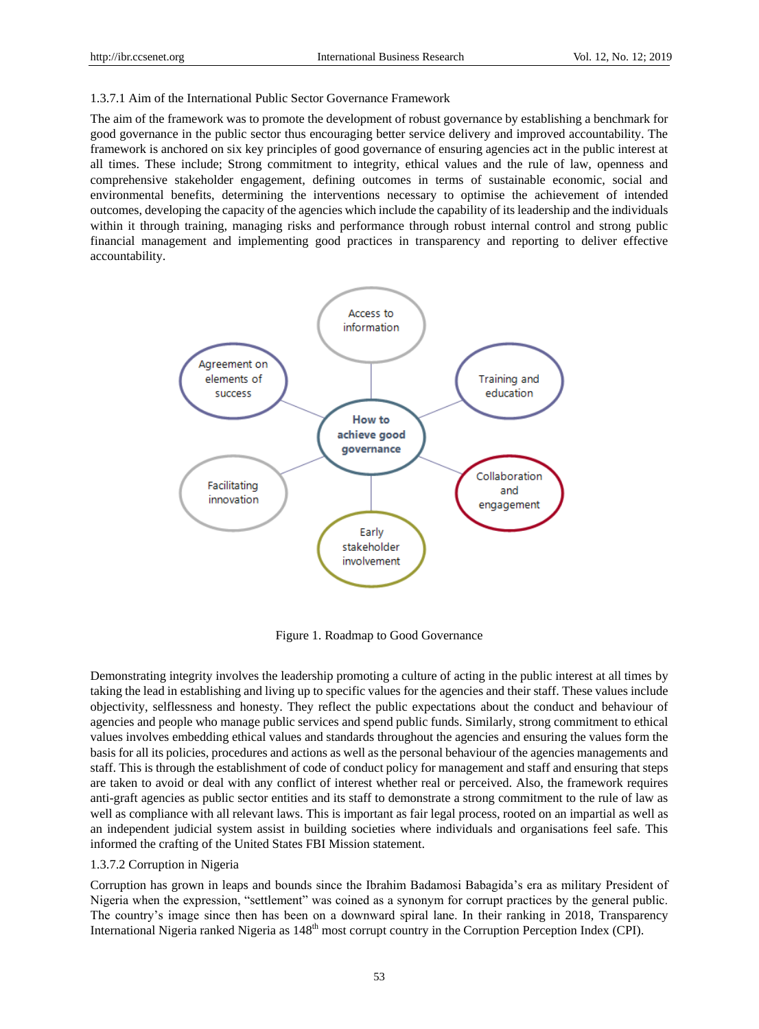#### 1.3.7.1 Aim of the International Public Sector Governance Framework

The aim of the framework was to promote the development of robust governance by establishing a benchmark for good governance in the public sector thus encouraging better service delivery and improved accountability. The framework is anchored on six key principles of good governance of ensuring agencies act in the public interest at all times. These include; Strong commitment to integrity, ethical values and the rule of law, openness and comprehensive stakeholder engagement, defining outcomes in terms of sustainable economic, social and environmental benefits, determining the interventions necessary to optimise the achievement of intended outcomes, developing the capacity of the agencies which include the capability of its leadership and the individuals within it through training, managing risks and performance through robust internal control and strong public financial management and implementing good practices in transparency and reporting to deliver effective accountability.



Figure 1. Roadmap to Good Governance

Demonstrating integrity involves the leadership promoting a culture of acting in the public interest at all times by taking the lead in establishing and living up to specific values for the agencies and their staff. These values include objectivity, selflessness and honesty. They reflect the public expectations about the conduct and behaviour of agencies and people who manage public services and spend public funds. Similarly, strong commitment to ethical values involves embedding ethical values and standards throughout the agencies and ensuring the values form the basis for all its policies, procedures and actions as well as the personal behaviour of the agencies managements and staff. This is through the establishment of code of conduct policy for management and staff and ensuring that steps are taken to avoid or deal with any conflict of interest whether real or perceived. Also, the framework requires anti-graft agencies as public sector entities and its staff to demonstrate a strong commitment to the rule of law as well as compliance with all relevant laws. This is important as fair legal process, rooted on an impartial as well as an independent judicial system assist in building societies where individuals and organisations feel safe. This informed the crafting of the United States FBI Mission statement.

#### 1.3.7.2 Corruption in Nigeria

Corruption has grown in leaps and bounds since the Ibrahim Badamosi Babagida"s era as military President of Nigeria when the expression, "settlement" was coined as a synonym for corrupt practices by the general public. The country"s image since then has been on a downward spiral lane. In their ranking in 2018, Transparency International Nigeria ranked Nigeria as  $148<sup>th</sup>$  most corrupt country in the Corruption Perception Index (CPI).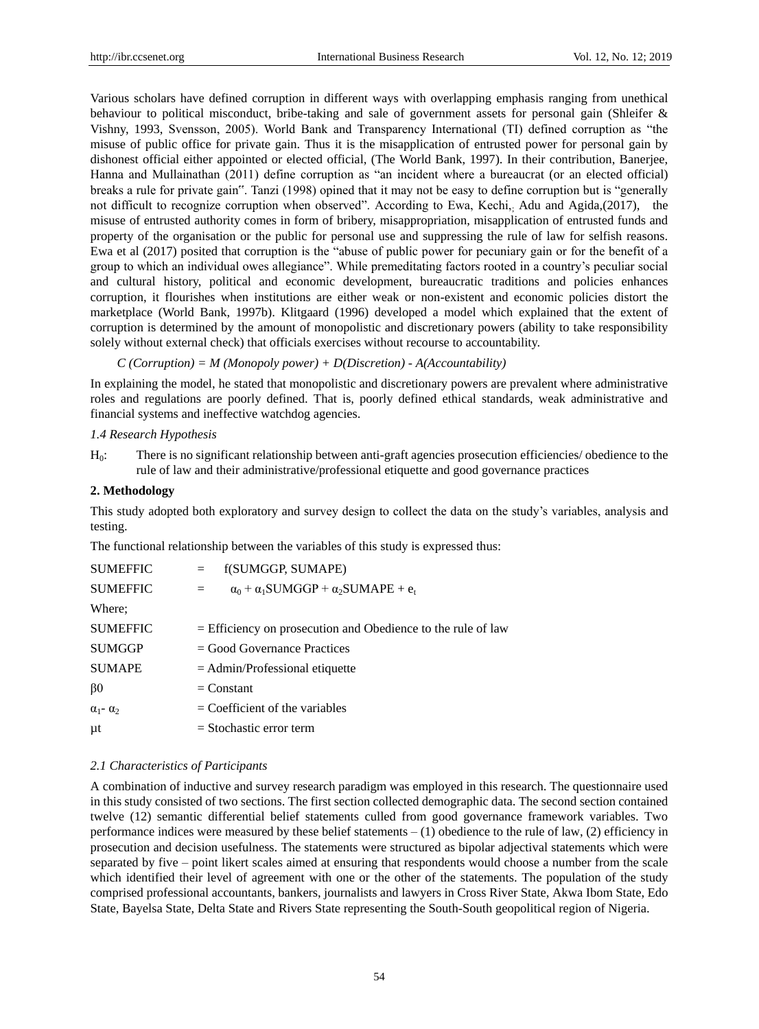Various scholars have defined corruption in different ways with overlapping emphasis ranging from unethical behaviour to political misconduct, bribe-taking and sale of government assets for personal gain (Shleifer & Vishny, 1993, Svensson, 2005). World Bank and Transparency International (TI) defined corruption as "the misuse of public office for private gain. Thus it is the misapplication of entrusted power for personal gain by dishonest official either appointed or elected official, (The World Bank, 1997). In their contribution, Banerjee, Hanna and Mullainathan (2011) define corruption as "an incident where a bureaucrat (or an elected official) breaks a rule for private gain". Tanzi (1998) opined that it may not be easy to define corruption but is "generally not difficult to recognize corruption when observed". According to Ewa, Kechi, Adu and Agida,(2017), the misuse of entrusted authority comes in form of bribery, misappropriation, misapplication of entrusted funds and property of the organisation or the public for personal use and suppressing the rule of law for selfish reasons. Ewa et al (2017) posited that corruption is the "abuse of public power for pecuniary gain or for the benefit of a group to which an individual owes allegiance". While premeditating factors rooted in a country"s peculiar social and cultural history, political and economic development, bureaucratic traditions and policies enhances corruption, it flourishes when institutions are either weak or non-existent and economic policies distort the marketplace (World Bank, 1997b). Klitgaard (1996) developed a model which explained that the extent of corruption is determined by the amount of monopolistic and discretionary powers (ability to take responsibility solely without external check) that officials exercises without recourse to accountability.

*C (Corruption) = M (Monopoly power) + D(Discretion) - A(Accountability)* 

In explaining the model, he stated that monopolistic and discretionary powers are prevalent where administrative roles and regulations are poorly defined. That is, poorly defined ethical standards, weak administrative and financial systems and ineffective watchdog agencies.

#### *1.4 Research Hypothesis*

H0: There is no significant relationship between anti-graft agencies prosecution efficiencies/ obedience to the rule of law and their administrative/professional etiquette and good governance practices

#### **2. Methodology**

This study adopted both exploratory and survey design to collect the data on the study"s variables, analysis and testing.

The functional relationship between the variables of this study is expressed thus:

| <b>SUMEFFIC</b>         | f(SUMGGP, SUMAPE)<br>$=$                                          |
|-------------------------|-------------------------------------------------------------------|
| <b>SUMEFFIC</b>         | $\alpha_0$ + $\alpha_1$ SUMGGP + $\alpha_2$ SUMAPE + $e_t$<br>$=$ |
| Where:                  |                                                                   |
| <b>SUMEFFIC</b>         | $=$ Efficiency on prosecution and Obedience to the rule of law    |
| <b>SUMGGP</b>           | $=$ Good Governance Practices                                     |
| <b>SUMAPE</b>           | $=$ Admin/Professional etiquette                                  |
| $\beta$ 0               | $=$ Constant                                                      |
| $\alpha_1$ - $\alpha_2$ | $=$ Coefficient of the variables                                  |
| μt                      | $=$ Stochastic error term                                         |

#### *2.1 Characteristics of Participants*

A combination of inductive and survey research paradigm was employed in this research. The questionnaire used in this study consisted of two sections. The first section collected demographic data. The second section contained twelve (12) semantic differential belief statements culled from good governance framework variables. Two performance indices were measured by these belief statements – (1) obedience to the rule of law, (2) efficiency in prosecution and decision usefulness. The statements were structured as bipolar adjectival statements which were separated by five – point likert scales aimed at ensuring that respondents would choose a number from the scale which identified their level of agreement with one or the other of the statements. The population of the study comprised professional accountants, bankers, journalists and lawyers in Cross River State, Akwa Ibom State, Edo State, Bayelsa State, Delta State and Rivers State representing the South-South geopolitical region of Nigeria.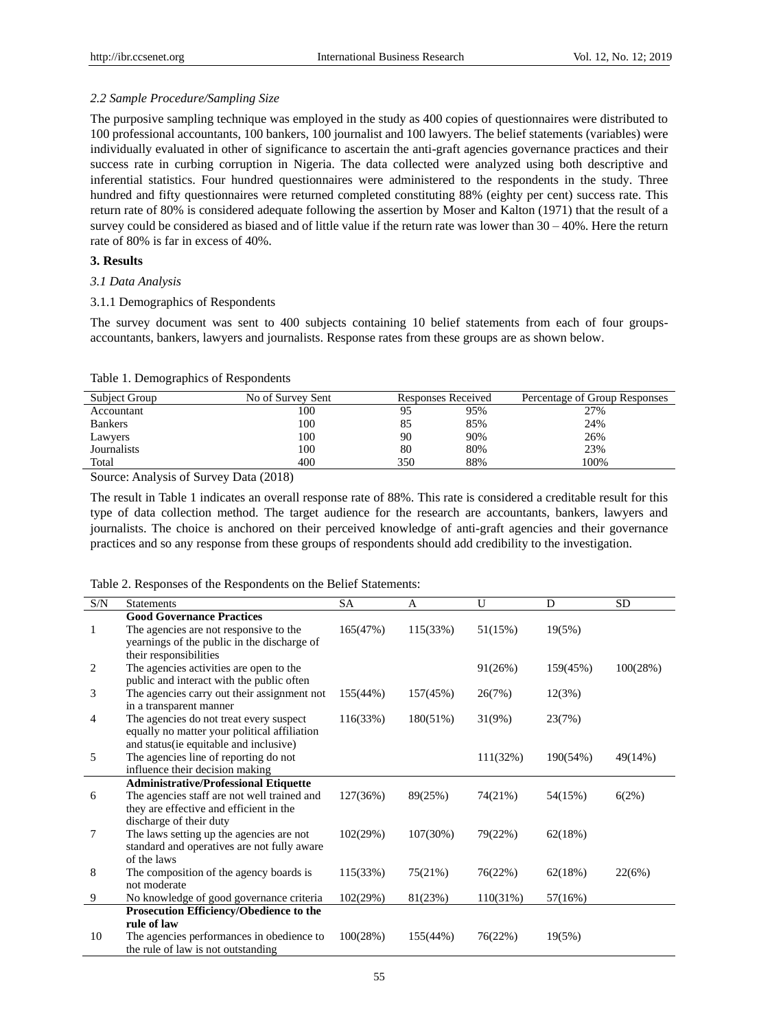# *2.2 Sample Procedure/Sampling Size*

The purposive sampling technique was employed in the study as 400 copies of questionnaires were distributed to 100 professional accountants, 100 bankers, 100 journalist and 100 lawyers. The belief statements (variables) were individually evaluated in other of significance to ascertain the anti-graft agencies governance practices and their success rate in curbing corruption in Nigeria. The data collected were analyzed using both descriptive and inferential statistics. Four hundred questionnaires were administered to the respondents in the study. Three hundred and fifty questionnaires were returned completed constituting 88% (eighty per cent) success rate. This return rate of 80% is considered adequate following the assertion by Moser and Kalton (1971) that the result of a survey could be considered as biased and of little value if the return rate was lower than  $30 - 40\%$ . Here the return rate of 80% is far in excess of 40%.

# **3. Results**

### *3.1 Data Analysis*

## 3.1.1 Demographics of Respondents

The survey document was sent to 400 subjects containing 10 belief statements from each of four groupsaccountants, bankers, lawyers and journalists. Response rates from these groups are as shown below.

| <b>Subject Group</b> | No of Survey Sent |     | Responses Received | Percentage of Group Responses |
|----------------------|-------------------|-----|--------------------|-------------------------------|
| Accountant           | 100               | 95  | 95%                | 27%                           |
| <b>Bankers</b>       | 100               | 85  | 85%                | 24%                           |
| Lawyers              | 100               | 90  | 90%                | 26%                           |
| Journalists          | 100               | 80  | 80%                | 23%                           |
| Total                | 400               | 350 | 88%                | 100%                          |

Source: Analysis of Survey Data (2018)

The result in Table 1 indicates an overall response rate of 88%. This rate is considered a creditable result for this type of data collection method. The target audience for the research are accountants, bankers, lawyers and journalists. The choice is anchored on their perceived knowledge of anti-graft agencies and their governance practices and so any response from these groups of respondents should add credibility to the investigation.

| Table 2. Responses of the Respondents on the Belief Statements: |  |  |  |  |  |  |  |
|-----------------------------------------------------------------|--|--|--|--|--|--|--|
|-----------------------------------------------------------------|--|--|--|--|--|--|--|

| $\ensuremath{\mathrm{S/N}}$ | <b>Statements</b>                            | SA       | A        | U        | D        | <b>SD</b> |
|-----------------------------|----------------------------------------------|----------|----------|----------|----------|-----------|
|                             | <b>Good Governance Practices</b>             |          |          |          |          |           |
| 1                           | The agencies are not responsive to the       | 165(47%) | 115(33%) | 51(15%)  | 19(5%)   |           |
|                             | yearnings of the public in the discharge of  |          |          |          |          |           |
|                             | their responsibilities                       |          |          |          |          |           |
| 2                           | The agencies activities are open to the      |          |          | 91(26%)  | 159(45%) | 100(28%)  |
|                             | public and interact with the public often    |          |          |          |          |           |
| 3                           | The agencies carry out their assignment not  | 155(44%) | 157(45%) | 26(7%)   | 12(3%)   |           |
|                             | in a transparent manner                      |          |          |          |          |           |
| 4                           | The agencies do not treat every suspect      | 116(33%) | 180(51%) | 31(9%)   | 23(7%)   |           |
|                             | equally no matter your political affiliation |          |          |          |          |           |
|                             | and status (ie equitable and inclusive)      |          |          |          |          |           |
| 5                           | The agencies line of reporting do not        |          |          | 111(32%) | 190(54%) | 49(14%)   |
|                             | influence their decision making              |          |          |          |          |           |
|                             | <b>Administrative/Professional Etiquette</b> |          |          |          |          |           |
| 6                           | The agencies staff are not well trained and  | 127(36%) | 89(25%)  | 74(21%)  | 54(15%)  | 6(2%)     |
|                             | they are effective and efficient in the      |          |          |          |          |           |
|                             | discharge of their duty                      |          |          |          |          |           |
| 7                           | The laws setting up the agencies are not     | 102(29%) | 107(30%) | 79(22%)  | 62(18%)  |           |
|                             | standard and operatives are not fully aware  |          |          |          |          |           |
|                             | of the laws                                  |          |          |          |          |           |
| 8                           | The composition of the agency boards is      | 115(33%) | 75(21%)  | 76(22%)  | 62(18%)  | 22(6%)    |
|                             | not moderate                                 |          |          |          |          |           |
| 9                           | No knowledge of good governance criteria     | 102(29%) | 81(23%)  | 110(31%) | 57(16%)  |           |
|                             | Prosecution Efficiency/Obedience to the      |          |          |          |          |           |
|                             | rule of law                                  |          |          |          |          |           |
| 10                          | The agencies performances in obedience to    | 100(28%) | 155(44%) | 76(22%)  | 19(5%)   |           |
|                             | the rule of law is not outstanding           |          |          |          |          |           |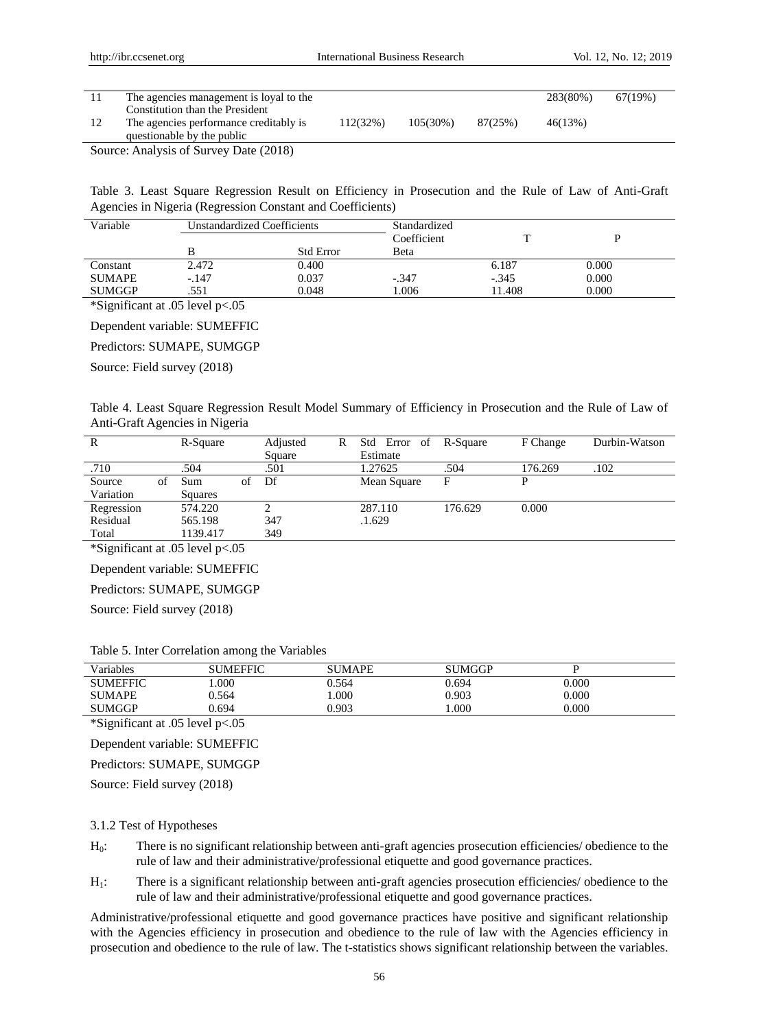|        | The agencies management is loyal to the |          |             |         | 283(80%) | 67(19%) |
|--------|-----------------------------------------|----------|-------------|---------|----------|---------|
|        | Constitution than the President         |          |             |         |          |         |
|        | The agencies performance creditably is  | 112(32%) | $105(30\%)$ | 87(25%) | 46(13%)  |         |
|        | questionable by the public              |          |             |         |          |         |
| $\sim$ | .<br>$\sim$ $\sim$ $\sim$ $\sim$ $\sim$ |          |             |         |          |         |

Source: Analysis of Survey Date (2018)

Table 3. Least Square Regression Result on Efficiency in Prosecution and the Rule of Law of Anti-Graft Agencies in Nigeria (Regression Constant and Coefficients)

| Variable      | Unstandardized Coefficients |                  | Standardized |         |       |  |
|---------------|-----------------------------|------------------|--------------|---------|-------|--|
|               |                             |                  | Coefficient  |         |       |  |
|               |                             | <b>Std Error</b> | Beta         |         |       |  |
| Constant      | 2.472                       | 0.400            |              | 6.187   | 0.000 |  |
| <b>SUMAPE</b> | $-.147$                     | 0.037            | $-.347$      | $-.345$ | 0.000 |  |
| <b>SUMGGP</b> | .551                        | 0.048            | 1.006        | 11.408  | 0.000 |  |

\*Significant at .05 level p<.05

Dependent variable: SUMEFFIC

Predictors: SUMAPE, SUMGGP

Source: Field survey (2018)

Table 4. Least Square Regression Result Model Summary of Efficiency in Prosecution and the Rule of Law of Anti-Graft Agencies in Nigeria

| R          |    | R-Square |    | Adjusted | R | Std Error of | R-Square | F Change | Durbin-Watson |
|------------|----|----------|----|----------|---|--------------|----------|----------|---------------|
|            |    |          |    | Square   |   | Estimate     |          |          |               |
| .710       |    | .504     |    | .501     |   | 1.27625      | .504     | 176.269  | .102          |
| Source     | ΩŤ | Sum      | of | Df       |   | Mean Square  | F        | D        |               |
| Variation  |    | Squares  |    |          |   |              |          |          |               |
| Regression |    | 574.220  |    |          |   | 287.110      | 176.629  | 0.000    |               |
| Residual   |    | 565.198  |    | 347      |   | .1.629       |          |          |               |
| Total      |    | 1139.417 |    | 349      |   |              |          |          |               |

\*Significant at .05 level p<.05

Dependent variable: SUMEFFIC

Predictors: SUMAPE, SUMGGP

Source: Field survey (2018)

|  |  | Table 5. Inter Correlation among the Variables |  |  |  |
|--|--|------------------------------------------------|--|--|--|
|--|--|------------------------------------------------|--|--|--|

| Variables       | <b>SUMEFFIC</b> | <b>SUMAPE</b> | <b>SUMGGP</b> |           |
|-----------------|-----------------|---------------|---------------|-----------|
| <b>SUMEFFIC</b> | .000            | 0.564         | 0.694         | $0.000\,$ |
| <b>SUMAPE</b>   | 0.564           | .000          | 0.903         | $0.000\,$ |
| <b>SUMGGP</b>   | 9.694           | 0.903         | .000          | 0.000     |

\*Significant at .05 level p<.05

Dependent variable: SUMEFFIC

Predictors: SUMAPE, SUMGGP

Source: Field survey (2018)

#### 3.1.2 Test of Hypotheses

- H0: There is no significant relationship between anti-graft agencies prosecution efficiencies/ obedience to the rule of law and their administrative/professional etiquette and good governance practices.
- H1: There is a significant relationship between anti-graft agencies prosecution efficiencies/ obedience to the rule of law and their administrative/professional etiquette and good governance practices.

Administrative/professional etiquette and good governance practices have positive and significant relationship with the Agencies efficiency in prosecution and obedience to the rule of law with the Agencies efficiency in prosecution and obedience to the rule of law. The t-statistics shows significant relationship between the variables.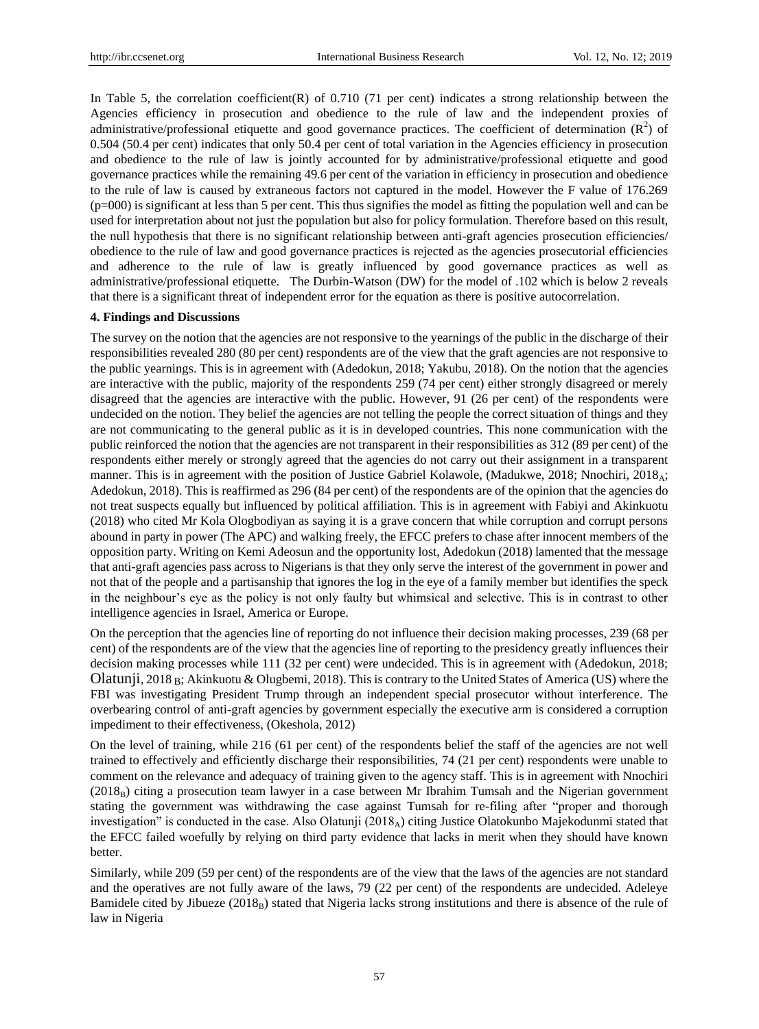In Table 5, the correlation coefficient(R) of 0.710 (71 per cent) indicates a strong relationship between the Agencies efficiency in prosecution and obedience to the rule of law and the independent proxies of administrative/professional etiquette and good governance practices. The coefficient of determination  $(R^2)$  of 0.504 (50.4 per cent) indicates that only 50.4 per cent of total variation in the Agencies efficiency in prosecution and obedience to the rule of law is jointly accounted for by administrative/professional etiquette and good governance practices while the remaining 49.6 per cent of the variation in efficiency in prosecution and obedience to the rule of law is caused by extraneous factors not captured in the model. However the F value of 176.269  $(p=000)$  is significant at less than 5 per cent. This thus signifies the model as fitting the population well and can be used for interpretation about not just the population but also for policy formulation. Therefore based on this result, the null hypothesis that there is no significant relationship between anti-graft agencies prosecution efficiencies/ obedience to the rule of law and good governance practices is rejected as the agencies prosecutorial efficiencies and adherence to the rule of law is greatly influenced by good governance practices as well as administrative/professional etiquette. The Durbin-Watson (DW) for the model of .102 which is below 2 reveals that there is a significant threat of independent error for the equation as there is positive autocorrelation.

#### **4. Findings and Discussions**

The survey on the notion that the agencies are not responsive to the yearnings of the public in the discharge of their responsibilities revealed 280 (80 per cent) respondents are of the view that the graft agencies are not responsive to the public yearnings. This is in agreement with (Adedokun, 2018; Yakubu, 2018). On the notion that the agencies are interactive with the public, majority of the respondents 259 (74 per cent) either strongly disagreed or merely disagreed that the agencies are interactive with the public. However, 91 (26 per cent) of the respondents were undecided on the notion. They belief the agencies are not telling the people the correct situation of things and they are not communicating to the general public as it is in developed countries. This none communication with the public reinforced the notion that the agencies are not transparent in their responsibilities as 312 (89 per cent) of the respondents either merely or strongly agreed that the agencies do not carry out their assignment in a transparent manner. This is in agreement with the position of Justice Gabriel Kolawole, (Madukwe, 2018; Nnochiri, 2018<sub>A</sub>; Adedokun, 2018). This is reaffirmed as 296 (84 per cent) of the respondents are of the opinion that the agencies do not treat suspects equally but influenced by political affiliation. This is in agreement with Fabiyi and Akinkuotu (2018) who cited Mr Kola Ologbodiyan as saying it is a grave concern that while corruption and corrupt persons abound in party in power (The APC) and walking freely, the EFCC prefers to chase after innocent members of the opposition party. Writing on Kemi Adeosun and the opportunity lost, Adedokun (2018) lamented that the message that anti-graft agencies pass across to Nigerians is that they only serve the interest of the government in power and not that of the people and a partisanship that ignores the log in the eye of a family member but identifies the speck in the neighbour"s eye as the policy is not only faulty but whimsical and selective. This is in contrast to other intelligence agencies in Israel, America or Europe.

On the perception that the agencies line of reporting do not influence their decision making processes, 239 (68 per cent) of the respondents are of the view that the agencies line of reporting to the presidency greatly influences their decision making processes while 111 (32 per cent) were undecided. This is in agreement with (Adedokun, 2018; Olatunji, 2018 B; Akinkuotu & Olugbemi, 2018). This is contrary to the United States of America (US) where the FBI was investigating President Trump through an independent special prosecutor without interference. The overbearing control of anti-graft agencies by government especially the executive arm is considered a corruption impediment to their effectiveness, (Okeshola, 2012)

On the level of training, while 216 (61 per cent) of the respondents belief the staff of the agencies are not well trained to effectively and efficiently discharge their responsibilities, 74 (21 per cent) respondents were unable to comment on the relevance and adequacy of training given to the agency staff. This is in agreement with Nnochiri  $(2018<sub>B</sub>)$  citing a prosecution team lawyer in a case between Mr Ibrahim Tumsah and the Nigerian government stating the government was withdrawing the case against Tumsah for re-filing after "proper and thorough investigation" is conducted in the case. Also Olatunji (2018 $_A$ ) citing Justice Olatokunbo Majekodunmi stated that the EFCC failed woefully by relying on third party evidence that lacks in merit when they should have known better.

Similarly, while 209 (59 per cent) of the respondents are of the view that the laws of the agencies are not standard and the operatives are not fully aware of the laws, 79 (22 per cent) of the respondents are undecided. Adeleye Bamidele cited by Jibueze (2018<sub>B</sub>) stated that Nigeria lacks strong institutions and there is absence of the rule of law in Nigeria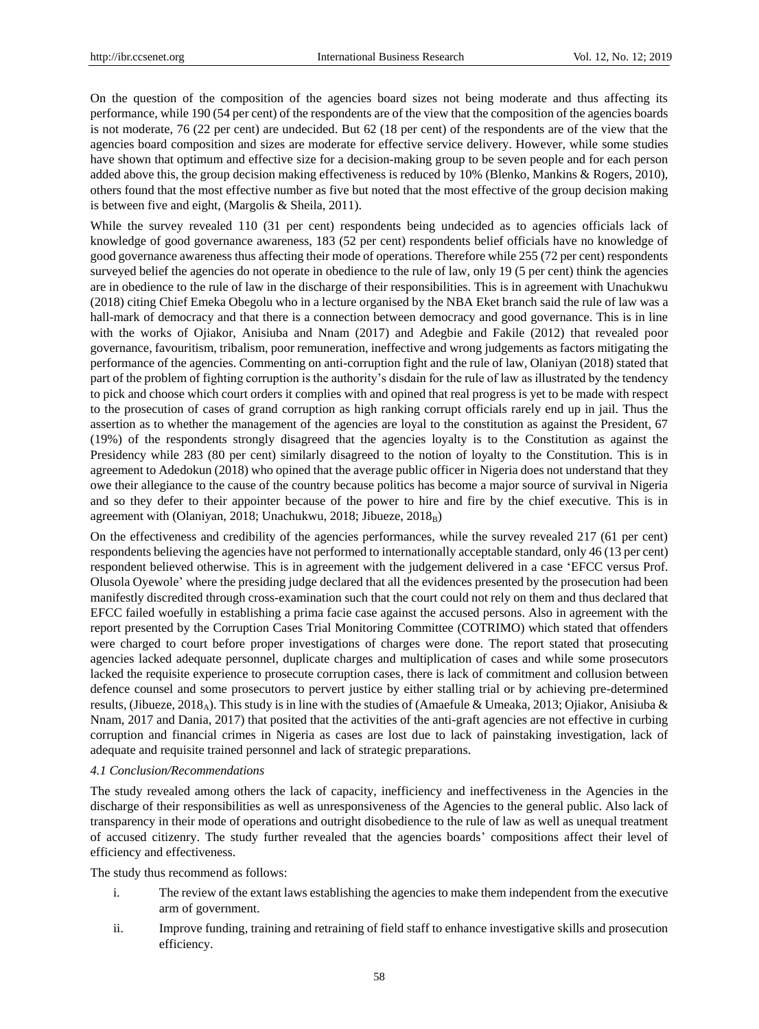On the question of the composition of the agencies board sizes not being moderate and thus affecting its performance, while 190 (54 per cent) of the respondents are of the view that the composition of the agencies boards is not moderate, 76 (22 per cent) are undecided. But 62 (18 per cent) of the respondents are of the view that the agencies board composition and sizes are moderate for effective service delivery. However, while some studies have shown that optimum and effective size for a decision-making group to be seven people and for each person added above this, the group decision making effectiveness is reduced by 10% (Blenko, Mankins & Rogers, 2010), others found that the most effective number as five but noted that the most effective of the group decision making is between five and eight, (Margolis & Sheila, 2011).

While the survey revealed 110 (31 per cent) respondents being undecided as to agencies officials lack of knowledge of good governance awareness, 183 (52 per cent) respondents belief officials have no knowledge of good governance awareness thus affecting their mode of operations. Therefore while 255 (72 per cent) respondents surveyed belief the agencies do not operate in obedience to the rule of law, only 19 (5 per cent) think the agencies are in obedience to the rule of law in the discharge of their responsibilities. This is in agreement with Unachukwu (2018) citing Chief Emeka Obegolu who in a lecture organised by the NBA Eket branch said the rule of law was a hall-mark of democracy and that there is a connection between democracy and good governance. This is in line with the works of Ojiakor, Anisiuba and Nnam (2017) and Adegbie and Fakile (2012) that revealed poor governance, favouritism, tribalism, poor remuneration, ineffective and wrong judgements as factors mitigating the performance of the agencies. Commenting on anti-corruption fight and the rule of law, Olaniyan (2018) stated that part of the problem of fighting corruption is the authority"s disdain for the rule of law as illustrated by the tendency to pick and choose which court orders it complies with and opined that real progress is yet to be made with respect to the prosecution of cases of grand corruption as high ranking corrupt officials rarely end up in jail. Thus the assertion as to whether the management of the agencies are loyal to the constitution as against the President, 67 (19%) of the respondents strongly disagreed that the agencies loyalty is to the Constitution as against the Presidency while 283 (80 per cent) similarly disagreed to the notion of loyalty to the Constitution. This is in agreement to Adedokun (2018) who opined that the average public officer in Nigeria does not understand that they owe their allegiance to the cause of the country because politics has become a major source of survival in Nigeria and so they defer to their appointer because of the power to hire and fire by the chief executive. This is in agreement with (Olaniyan, 2018; Unachukwu, 2018; Jibueze, 2018<sub>B</sub>)

On the effectiveness and credibility of the agencies performances, while the survey revealed 217 (61 per cent) respondents believing the agencies have not performed to internationally acceptable standard, only 46 (13 per cent) respondent believed otherwise. This is in agreement with the judgement delivered in a case "EFCC versus Prof. Olusola Oyewole" where the presiding judge declared that all the evidences presented by the prosecution had been manifestly discredited through cross-examination such that the court could not rely on them and thus declared that EFCC failed woefully in establishing a prima facie case against the accused persons. Also in agreement with the report presented by the Corruption Cases Trial Monitoring Committee (COTRIMO) which stated that offenders were charged to court before proper investigations of charges were done. The report stated that prosecuting agencies lacked adequate personnel, duplicate charges and multiplication of cases and while some prosecutors lacked the requisite experience to prosecute corruption cases, there is lack of commitment and collusion between defence counsel and some prosecutors to pervert justice by either stalling trial or by achieving pre-determined results, (Jibueze, 2018<sub>A</sub>). This study is in line with the studies of (Amaefule & Umeaka, 2013; Ojiakor, Anisiuba & Nnam, 2017 and Dania, 2017) that posited that the activities of the anti-graft agencies are not effective in curbing corruption and financial crimes in Nigeria as cases are lost due to lack of painstaking investigation, lack of adequate and requisite trained personnel and lack of strategic preparations.

#### *4.1 Conclusion/Recommendations*

The study revealed among others the lack of capacity, inefficiency and ineffectiveness in the Agencies in the discharge of their responsibilities as well as unresponsiveness of the Agencies to the general public. Also lack of transparency in their mode of operations and outright disobedience to the rule of law as well as unequal treatment of accused citizenry. The study further revealed that the agencies boards" compositions affect their level of efficiency and effectiveness.

The study thus recommend as follows:

- i. The review of the extant laws establishing the agencies to make them independent from the executive arm of government.
- ii. Improve funding, training and retraining of field staff to enhance investigative skills and prosecution efficiency.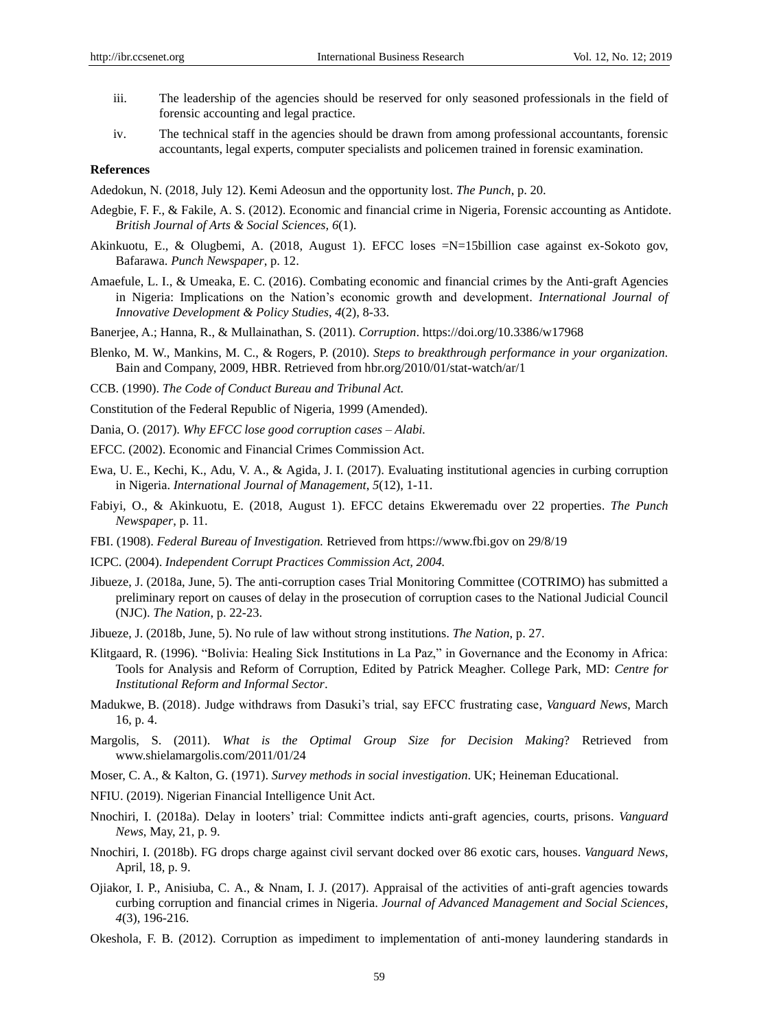- iii. The leadership of the agencies should be reserved for only seasoned professionals in the field of forensic accounting and legal practice.
- iv. The technical staff in the agencies should be drawn from among professional accountants, forensic accountants, legal experts, computer specialists and policemen trained in forensic examination.

### **References**

Adedokun, N. (2018, July 12). Kemi Adeosun and the opportunity lost. *The Punch*, p. 20.

- Adegbie, F. F., & Fakile, A. S. (2012). Economic and financial crime in Nigeria, Forensic accounting as Antidote. *British Journal of Arts & Social Sciences, 6*(1).
- Akinkuotu, E., & Olugbemi, A. (2018, August 1). EFCC loses =N=15billion case against ex-Sokoto gov, Bafarawa. *Punch Newspaper*, p. 12.
- Amaefule, L. I., & Umeaka, E. C. (2016). Combating economic and financial crimes by the Anti-graft Agencies in Nigeria: Implications on the Nation"s economic growth and development. *International Journal of Innovative Development & Policy Studies*, *4*(2), 8-33.
- Banerjee, A.; Hanna, R., & Mullainathan, S. (2011). *Corruption*. https://doi.org/10.3386/w17968
- Blenko, M. W., Mankins, M. C., & Rogers, P. (2010). *Steps to breakthrough performance in your organization.* Bain and Company, 2009, HBR. Retrieved from hbr.org/2010/01/stat-watch/ar/1
- CCB. (1990). *The Code of Conduct Bureau and Tribunal Act.*
- Constitution of the Federal Republic of Nigeria, 1999 (Amended).
- Dania, O. (2017). *Why EFCC lose good corruption cases – Alabi.*
- EFCC. (2002). Economic and Financial Crimes Commission Act.
- Ewa, U. E., Kechi, K., Adu, V. A., & Agida, J. I. (2017). Evaluating institutional agencies in curbing corruption in Nigeria. *International Journal of Management*, *5*(12), 1-11.
- Fabiyi, O., & Akinkuotu, E. (2018, August 1). EFCC detains Ekweremadu over 22 properties. *The Punch Newspaper*, p. 11.
- FBI. (1908). *Federal Bureau of Investigation.* Retrieved from https://www.fbi.gov on 29/8/19
- ICPC. (2004). *Independent Corrupt Practices Commission Act, 2004.*
- Jibueze, J. (2018a, June, 5). The anti-corruption cases Trial Monitoring Committee (COTRIMO) has submitted a preliminary report on causes of delay in the prosecution of corruption cases to the National Judicial Council (NJC). *The Nation*, p. 22-23.
- Jibueze, J. (2018b, June, 5). No rule of law without strong institutions. *The Nation*, p. 27.
- Klitgaard, R. (1996). "Bolivia: Healing Sick Institutions in La Paz," in Governance and the Economy in Africa: Tools for Analysis and Reform of Corruption, Edited by Patrick Meagher. College Park, MD: *Centre for Institutional Reform and Informal Sector*.
- Madukwe, B. (2018). Judge withdraws from Dasuki"s trial, say EFCC frustrating case, *Vanguard News*, March 16, p. 4.
- Margolis, S. (2011). *What is the Optimal Group Size for Decision Making*? Retrieved from www.shielamargolis.com/2011/01/24
- Moser, C. A., & Kalton, G. (1971). *Survey methods in social investigation*. UK; Heineman Educational.
- NFIU. (2019). Nigerian Financial Intelligence Unit Act.
- Nnochiri, I. (2018a). Delay in looters" trial: Committee indicts anti-graft agencies, courts, prisons. *Vanguard News*, May, 21, p. 9.
- Nnochiri, I. (2018b). FG drops charge against civil servant docked over 86 exotic cars, houses. *Vanguard News*, April, 18, p. 9.
- Ojiakor, I. P., Anisiuba, C. A., & Nnam, I. J. (2017). Appraisal of the activities of anti-graft agencies towards curbing corruption and financial crimes in Nigeria. *Journal of Advanced Management and Social Sciences*, *4*(3), 196-216.
- Okeshola, F. B. (2012). Corruption as impediment to implementation of anti-money laundering standards in